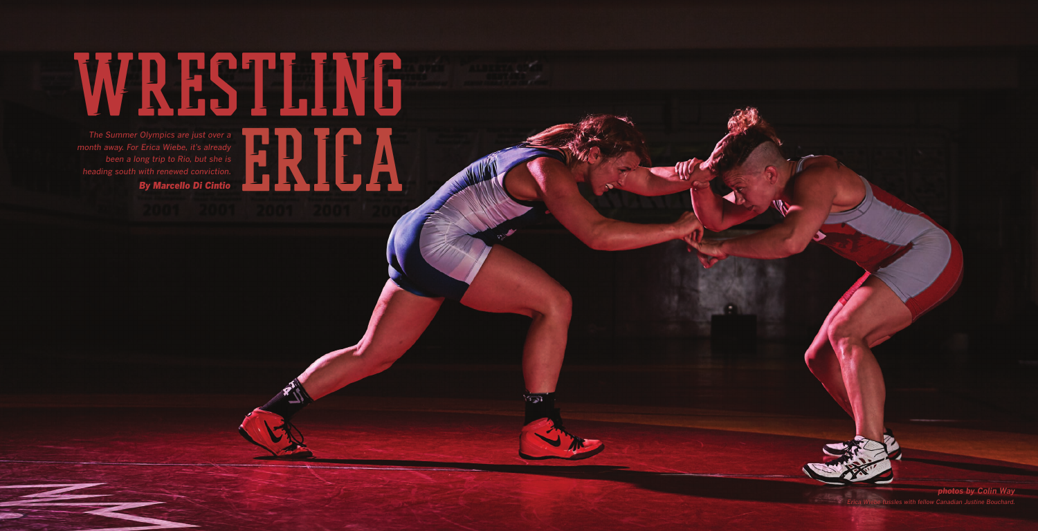WRESTLING The Summer Olympics are just over a<br>nth away. For Erica Wiebe, it's already<br>been a long trip to Rio, but she is<br>eading south with renewed conviction.<br>**By Marcello Di Cintio** *month away. For Erica Wiebe, it's already been a long trip to Rio, but she is heading south with renewed conviction. By Marcello Di Cintio*

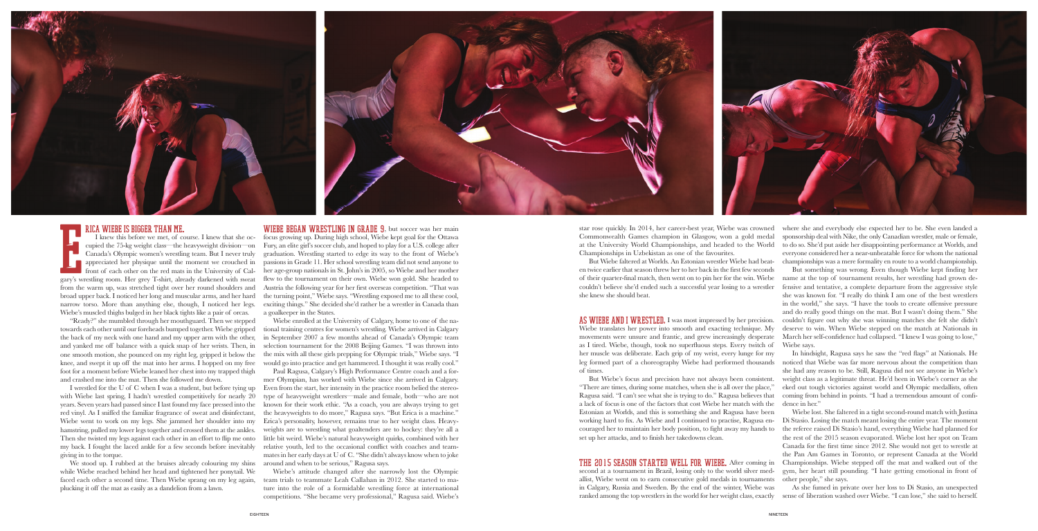star rose quickly. In 2014, her career-best year, Wiebe was crowned Commonwealth Games champion in Glasgow, won a gold medal at the University World Championships, and headed to the World Championships in Uzbekistan as one of the favourites.

But Wiebe faltered at Worlds. An Estonian wrestler Wiebe had beaten twice earlier that season threw her to her back in the first few seconds of their quarter-final match, then went on to pin her for the win. Wiebe couldn't believe she'd ended such a successful year losing to a wrestler she knew she should beat.

AS WIEBE AND I WRESTLED. I was most impressed by her precision. Wiebe translates her power into smooth and exacting technique. My movements were unsure and frantic, and grew increasingly desperate as I tired. Wiebe, though, took no superfluous steps. Every twitch of her muscle was deliberate. Each grip of my wrist, every lunge for my leg formed part of a choreography Wiebe had performed thousands

of times.

But Wiebe's focus and precision have not always been consistent. "There are times, during some matches, when she is all over the place," Ragusa said. "I can't see what she is trying to do." Ragusa believes that a lack of focus is one of the factors that cost Wiebe her match with the Estonian at Worlds, and this is something she and Ragusa have been working hard to fix. As Wiebe and I continued to practise, Ragusa encouraged her to maintain her body position, to fight away my hands to set up her attacks, and to finish her takedowns clean.

**THE 2015 SEASON STARTED WELL FOR WIEBE.** After coming in Championships. Wiebe stepped off the mat and walked out of the second at a tournament in Brazil, losing only to the world silver medallist, Wiebe went on to earn consecutive gold medals in tournaments in Calgary, Russia and Sweden. By the end of the winter, Wiebe was ranked among the top wrestlers in the world for her weight class, exactly gym, her heart still pounding. "I hate getting emotional in front of other people," she says. As she fumed in private over her loss to Di Stasio, an unexpected sense of liberation washed over Wiebe. "I can lose," she said to herself.

where she and everybody else expected her to be. She even landed a sponsorship deal with Nike, the only Canadian wrestler, male or female, to do so. She'd put aside her disappointing performance at Worlds, and everyone considered her a near-unbeatable force for whom the national championships was a mere formality en route to a world championship.

But something was wrong. Even though Wiebe kept finding her name at the top of tournament results, her wrestling had grown defensive and tentative, a complete departure from the aggressive style she was known for. "I really do think I am one of the best wrestlers in the world," she says. "I have the tools to create offensive pressure and do really good things on the mat. But I wasn't doing them." She couldn't figure out why she was winning matches she felt she didn't deserve to win. When Wiebe stepped on the match at Nationals in March her self-confidence had collapsed. "I knew I was going to lose," Wiebe says.

We stood up. I rubbed at the bruises already colouring my shins while Wiebe reached behind her head and tightened her ponytail. We faced each other a second time. Then Wiebe sprang on my leg again, plucking it off the mat as easily as a dandelion from a lawn.

In hindsight, Ragusa says he saw the "red flags" at Nationals. He noticed that Wiebe was far more nervous about the competition than she had any reason to be. Still, Ragusa did not see anyone in Wiebe's weight class as a legitimate threat. He'd been in Wiebe's corner as she eked out tough victories against world and Olympic medallists, often coming from behind in points. "I had a tremendous amount of confidence in her."

Wiebe lost. She faltered in a tight second-round match with Justina Di Stasio. Losing the match meant losing the entire year. The moment the referee raised Di Stasio's hand, everything Wiebe had planned for the rest of the 2015 season evaporated. Wiebe lost her spot on Team Canada for the first time since 2012. She would not get to wrestle at the Pan Am Games in Toronto, or represent Canada at the World



# rica Wiebe is bigger than me.

"Ready?" she mumbled through her mouthguard. Then we stepped towards each other until our foreheads bumped together. Wiebe gripped the back of my neck with one hand and my upper arm with the other, and yanked me off balance with a quick snap of her wrists. Then, in one smooth motion, she pounced on my right leg, gripped it below the knee, and swept it up off the mat into her arms. I hopped on my free would go into practice and get hammered. I thought it was really cool." foot for a moment before Wiebe leaned her chest into my trapped thigh and crashed me into the mat. Then she followed me down.

I knew this before we met, of course. I knew that she oc-focus growing up. During high school, Wiebe kept goal for the Ottawa WIEBE BEGAN WRESTLING IN GRADE 9, but soccer was her main Fury, an elite girl's soccer club, and hoped to play for a U.S. college after graduation. Wrestling started to edge its way to the front of Wiebe's passions in Grade 11. Her school wrestling team did not send anyone to her age-group nationals in St. John's in 2005, so Wiebe and her mother Austria the following year for her first overseas competition. "That was the turning point," Wiebe says. "Wrestling exposed me to all these cool, exciting things." She decided she'd rather be a wrestler in Canada than a goalkeeper in the States.

I wrestled for the U of C when I was a student, but before tying up with Wiebe last spring, I hadn't wrestled competitively for nearly 20 years. Seven years had passed since I last found my face pressed into the red vinyl. As I sniffed the familiar fragrance of sweat and disinfectant, Wiebe went to work on my legs. She jammed her shoulder into my hamstring, pulled my lower legs together and crossed them at the ankles. Then she twisted my legs against each other in an effort to flip me onto my back. I fought the laced ankle for a few seconds before inevitably giving in to the torque.

cupied the 75-kg weight class—the heavyweight division—on Canada's Olympic women's wrestling team. But I never truly **appreciated her physique until the moment we crouched in** front of each other on the red mats in the University of Calgary's wrestling room. Her grey T-shirt, already darkened with sweat flew to the tournament on their own. Wiebe won gold. She headed to from the warm up, was stretched tight over her round shoulders and broad upper back. I noticed her long and muscular arms, and her hard narrow torso. More than anything else, though, I noticed her legs. Wiebe's muscled thighs bulged in her black tights like a pair of orcas. E

Wiebe enrolled at the University of Calgary, home to one of the national training centres for women's wrestling. Wiebe arrived in Calgary in September 2007 a few months ahead of Canada's Olympic team selection tournament for the 2008 Beijing Games. "I was thrown into the mix with all these girls prepping for Olympic trials," Wiebe says. "I

Paul Ragusa, Calgary's High Performance Centre coach and a former Olympian, has worked with Wiebe since she arrived in Calgary. Even from the start, her intensity in the practice room belied the stereotype of heavyweight wrestlers—male and female, both—who are not known for their work ethic. "As a coach, you are always trying to get the heavyweights to do more," Ragusa says. "But Erica is a machine." Erica's personality, however, remains true to her weight class. Heavyweights are to wrestling what goaltenders are to hockey: they're all a little bit weird. Wiebe's natural heavyweight quirks, combined with her relative youth, led to the occasional conflict with coaches and teammates in her early days at U of C. "She didn't always know when to joke around and when to be serious," Ragusa says.

Wiebe's attitude changed after she narrowly lost the Olympic team trials to teammate Leah Callahan in 2012. She started to mature into the role of a formidable wrestling force at international competitions. "She became very professional," Ragusa said. Wiebe's